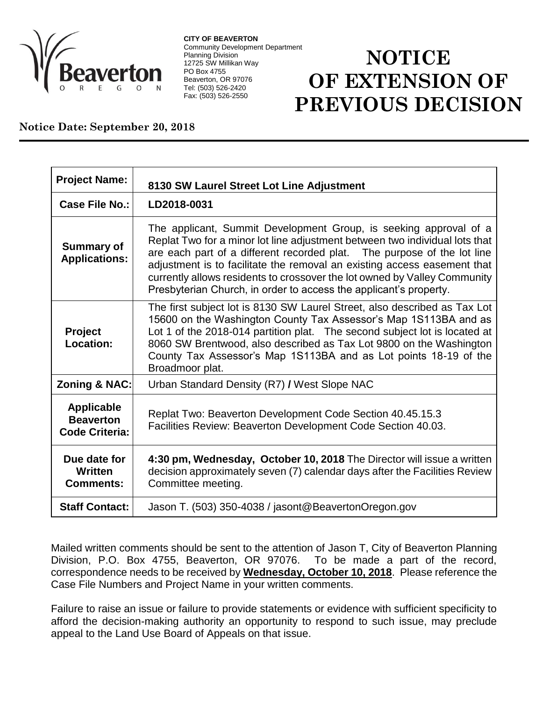

**CITY OF BEAVERTON** Community Development Department Planning Division 12725 SW Millikan Way PO Box 4755 Beaverton, OR 97076 Tel: (503) 526-2420 Fax: (503) 526-2550

## **NOTICE OF EXTENSION OF PREVIOUS DECISION**

## **Notice Date: September 20, 2018**

| <b>Project Name:</b>                                           | 8130 SW Laurel Street Lot Line Adjustment                                                                                                                                                                                                                                                                                                                                                                                                                 |
|----------------------------------------------------------------|-----------------------------------------------------------------------------------------------------------------------------------------------------------------------------------------------------------------------------------------------------------------------------------------------------------------------------------------------------------------------------------------------------------------------------------------------------------|
| Case File No.:                                                 | LD2018-0031                                                                                                                                                                                                                                                                                                                                                                                                                                               |
| <b>Summary of</b><br><b>Applications:</b>                      | The applicant, Summit Development Group, is seeking approval of a<br>Replat Two for a minor lot line adjustment between two individual lots that<br>are each part of a different recorded plat. The purpose of the lot line<br>adjustment is to facilitate the removal an existing access easement that<br>currently allows residents to crossover the lot owned by Valley Community<br>Presbyterian Church, in order to access the applicant's property. |
| <b>Project</b><br><b>Location:</b>                             | The first subject lot is 8130 SW Laurel Street, also described as Tax Lot<br>15600 on the Washington County Tax Assessor's Map 1S113BA and as<br>Lot 1 of the 2018-014 partition plat. The second subject lot is located at<br>8060 SW Brentwood, also described as Tax Lot 9800 on the Washington<br>County Tax Assessor's Map 1S113BA and as Lot points 18-19 of the<br>Broadmoor plat.                                                                 |
| <b>Zoning &amp; NAC:</b>                                       | Urban Standard Density (R7) / West Slope NAC                                                                                                                                                                                                                                                                                                                                                                                                              |
| <b>Applicable</b><br><b>Beaverton</b><br><b>Code Criteria:</b> | Replat Two: Beaverton Development Code Section 40.45.15.3<br>Facilities Review: Beaverton Development Code Section 40.03.                                                                                                                                                                                                                                                                                                                                 |
| Due date for<br>Written<br><b>Comments:</b>                    | 4:30 pm, Wednesday, October 10, 2018 The Director will issue a written<br>decision approximately seven (7) calendar days after the Facilities Review<br>Committee meeting.                                                                                                                                                                                                                                                                                |
| <b>Staff Contact:</b>                                          | Jason T. (503) 350-4038 / jasont@BeavertonOregon.gov                                                                                                                                                                                                                                                                                                                                                                                                      |

Mailed written comments should be sent to the attention of Jason T, City of Beaverton Planning Division, P.O. Box 4755, Beaverton, OR 97076. To be made a part of the record, correspondence needs to be received by **Wednesday, October 10, 2018**. Please reference the Case File Numbers and Project Name in your written comments.

Failure to raise an issue or failure to provide statements or evidence with sufficient specificity to afford the decision-making authority an opportunity to respond to such issue, may preclude appeal to the Land Use Board of Appeals on that issue.